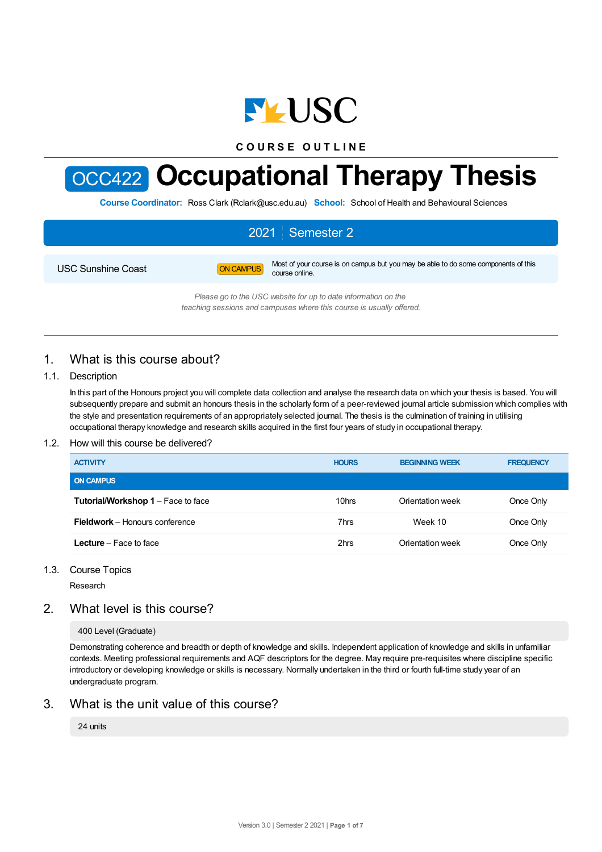

**C O U R S E O U T L I N E**



# OCC422 **Occupational Therapy Thesis**

**Course Coordinator:** Ross Clark (Rclark@usc.edu.au) **School:** School of Health and Behavioural Sciences

# 2021 Semester 2 USC Sunshine Coast **ON CAMPUS** Most of your course is on campus but you may be able to do some components of this course online.

*Please go to the USC website for up to date information on the teaching sessions and campuses where this course is usually offered.*

# 1. What is this course about?

#### 1.1. Description

In this part of the Honours project you will complete data collection and analyse the research data on which your thesis is based. You will subsequently prepare and submit an honours thesis in the scholarly form of a peer-reviewed journal article submission which complies with the style and presentation requirements of an appropriately selected journal. The thesis is the culmination of training in utilising occupational therapy knowledge and research skills acquired in the first four years of study in occupational therapy.

#### 1.2. How will this course be delivered?

| <b>ACTIVITY</b>                       | <b>HOURS</b> | <b>BEGINNING WEEK</b> | <b>FREQUENCY</b> |
|---------------------------------------|--------------|-----------------------|------------------|
| <b>ON CAMPUS</b>                      |              |                       |                  |
| Tutorial/Workshop 1 - Face to face    | 10hrs        | Orientation week      | Once Only        |
| <b>Fieldwork</b> – Honours conference | 7hrs         | Week 10               | Once Only        |
| <b>Lecture</b> – Face to face         | 2hrs         | Orientation week      | Once Only        |

#### 1.3. Course Topics

Research

# 2. What level is this course?

#### 400 Level (Graduate)

Demonstrating coherence and breadth or depth of knowledge and skills. Independent application of knowledge and skills in unfamiliar contexts. Meeting professional requirements and AQF descriptors for the degree. May require pre-requisites where discipline specific introductory or developing knowledge or skills is necessary. Normally undertaken in the third or fourth full-time study year of an undergraduate program.

# 3. What is the unit value of this course?

#### 24 units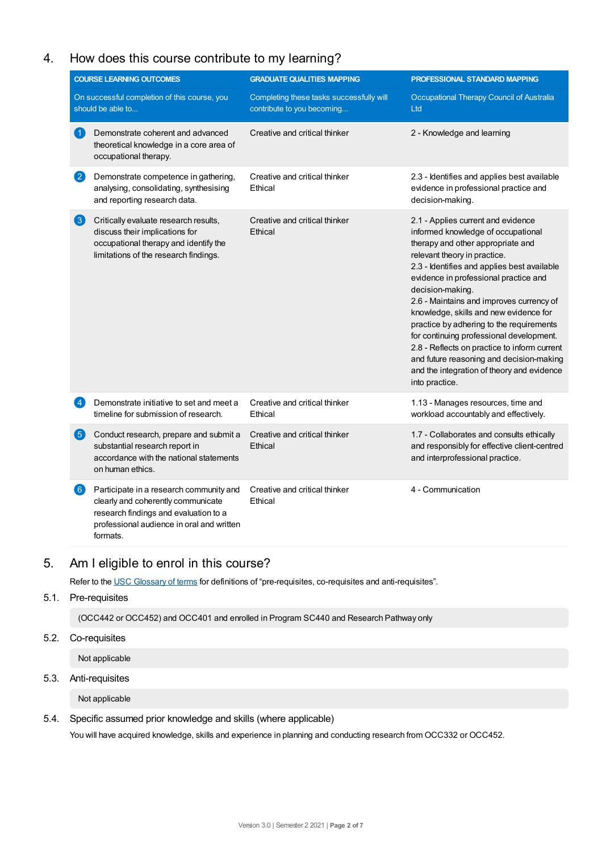# 4. How does this course contribute to my learning?

|                      | <b>COURSE LEARNING OUTCOMES</b>                                                                                                                                                 | <b>GRADUATE QUALITIES MAPPING</b>                                      | PROFESSIONAL STANDARD MAPPING                                                                                                                                                                                                                                                                                                                                                                                                                                                                                                                                                                       |
|----------------------|---------------------------------------------------------------------------------------------------------------------------------------------------------------------------------|------------------------------------------------------------------------|-----------------------------------------------------------------------------------------------------------------------------------------------------------------------------------------------------------------------------------------------------------------------------------------------------------------------------------------------------------------------------------------------------------------------------------------------------------------------------------------------------------------------------------------------------------------------------------------------------|
|                      | On successful completion of this course, you<br>should be able to                                                                                                               | Completing these tasks successfully will<br>contribute to you becoming | Occupational Therapy Council of Australia<br>Ltd                                                                                                                                                                                                                                                                                                                                                                                                                                                                                                                                                    |
| $\blacktriangleleft$ | Demonstrate coherent and advanced<br>theoretical knowledge in a core area of<br>occupational therapy.                                                                           | Creative and critical thinker                                          | 2 - Knowledge and learning                                                                                                                                                                                                                                                                                                                                                                                                                                                                                                                                                                          |
| 2                    | Demonstrate competence in gathering,<br>analysing, consolidating, synthesising<br>and reporting research data.                                                                  | Creative and critical thinker<br>Ethical                               | 2.3 - Identifies and applies best available<br>evidence in professional practice and<br>decision-making.                                                                                                                                                                                                                                                                                                                                                                                                                                                                                            |
| $\left(3\right)$     | Critically evaluate research results,<br>discuss their implications for<br>occupational therapy and identify the<br>limitations of the research findings.                       | Creative and critical thinker<br>Ethical                               | 2.1 - Applies current and evidence<br>informed knowledge of occupational<br>therapy and other appropriate and<br>relevant theory in practice.<br>2.3 - Identifies and applies best available<br>evidence in professional practice and<br>decision-making.<br>2.6 - Maintains and improves currency of<br>knowledge, skills and new evidence for<br>practice by adhering to the requirements<br>for continuing professional development.<br>2.8 - Reflects on practice to inform current<br>and future reasoning and decision-making<br>and the integration of theory and evidence<br>into practice. |
| $\left 4\right $     | Demonstrate initiative to set and meet a<br>timeline for submission of research.                                                                                                | Creative and critical thinker<br>Ethical                               | 1.13 - Manages resources, time and<br>workload accountably and effectively.                                                                                                                                                                                                                                                                                                                                                                                                                                                                                                                         |
| $\left( 5\right)$    | Conduct research, prepare and submit a<br>substantial research report in<br>accordance with the national statements<br>on human ethics.                                         | Creative and critical thinker<br>Ethical                               | 1.7 - Collaborates and consults ethically<br>and responsibly for effective client-centred<br>and interprofessional practice.                                                                                                                                                                                                                                                                                                                                                                                                                                                                        |
| $\left( 6\right)$    | Participate in a research community and<br>clearly and coherently communicate<br>research findings and evaluation to a<br>professional audience in oral and written<br>formats. | Creative and critical thinker<br>Ethical                               | 4 - Communication                                                                                                                                                                                                                                                                                                                                                                                                                                                                                                                                                                                   |

# 5. Am Ieligible to enrol in this course?

Refer to the USC [Glossary](https://www.usc.edu.au/about/policies-and-procedures/glossary-of-terms-for-policy-and-procedures) of terms for definitions of "pre-requisites, co-requisites and anti-requisites".

#### 5.1. Pre-requisites

(OCC442 or OCC452) and OCC401 and enrolled in Program SC440 and Research Pathway only

#### 5.2. Co-requisites

Not applicable

#### 5.3. Anti-requisites

Not applicable

#### 5.4. Specific assumed prior knowledge and skills (where applicable)

You will have acquired knowledge, skills and experience in planning and conducting research from OCC332 or OCC452.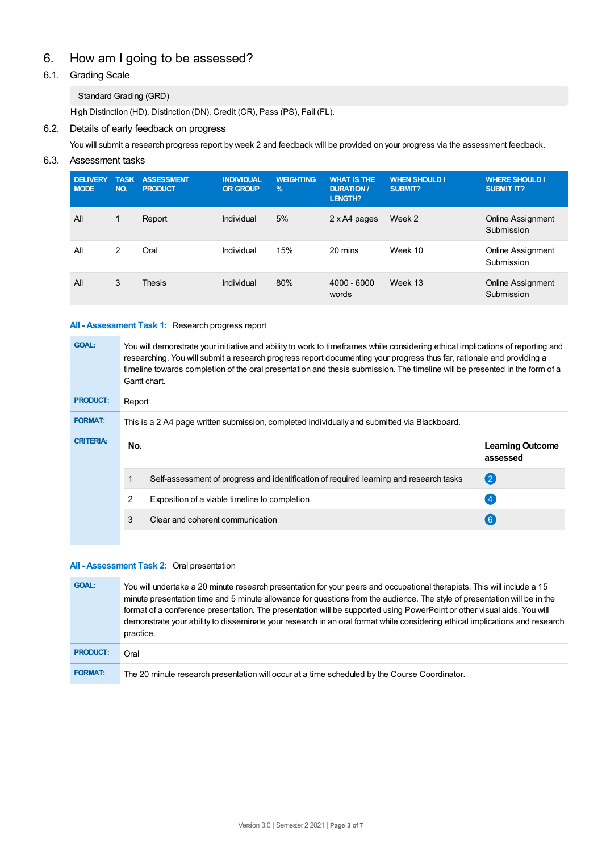# 6. How am Igoing to be assessed?

### 6.1. Grading Scale

#### Standard Grading (GRD)

High Distinction (HD), Distinction (DN), Credit (CR), Pass (PS), Fail (FL).

#### 6.2. Details of early feedback on progress

You will submit a research progress report by week 2 and feedback will be provided on your progress via the assessment feedback.

#### 6.3. Assessment tasks

| <b>DELIVERY</b><br><b>MODE</b> | <b>TASK</b><br>NO. | <b>ASSESSMENT</b><br><b>PRODUCT</b> | <b>INDIVIDUAL</b><br><b>OR GROUP</b> | <b>WEIGHTING</b><br>$\%$ | <b>WHAT IS THE</b><br><b>DURATION/</b><br><b>LENGTH?</b> | <b>WHEN SHOULD I</b><br>SUBMIT? | <b>WHERE SHOULD I</b><br><b>SUBMIT IT?</b> |
|--------------------------------|--------------------|-------------------------------------|--------------------------------------|--------------------------|----------------------------------------------------------|---------------------------------|--------------------------------------------|
| All                            | 1                  | Report                              | Individual                           | 5%                       | 2 x A4 pages                                             | Week 2                          | Online Assignment<br>Submission            |
| All                            | 2                  | Oral                                | Individual                           | 15%                      | 20 mins                                                  | Week 10                         | Online Assignment<br>Submission            |
| All                            | 3                  | <b>Thesis</b>                       | Individual                           | 80%                      | $4000 - 6000$<br>words                                   | Week 13                         | Online Assignment<br>Submission            |

#### **All - Assessment Task 1:** Research progress report

| <b>GOAL:</b>     | You will demonstrate your initiative and ability to work to timeframes while considering ethical implications of reporting and<br>researching. You will submit a research progress report documenting your progress thus far, rationale and providing a<br>timeline towards completion of the oral presentation and thesis submission. The timeline will be presented in the form of a<br>Gantt chart. |                                                                                        |                                     |  |  |  |
|------------------|--------------------------------------------------------------------------------------------------------------------------------------------------------------------------------------------------------------------------------------------------------------------------------------------------------------------------------------------------------------------------------------------------------|----------------------------------------------------------------------------------------|-------------------------------------|--|--|--|
| <b>PRODUCT:</b>  |                                                                                                                                                                                                                                                                                                                                                                                                        | Report                                                                                 |                                     |  |  |  |
| <b>FORMAT:</b>   | This is a 2 A4 page written submission, completed individually and submitted via Blackboard.                                                                                                                                                                                                                                                                                                           |                                                                                        |                                     |  |  |  |
| <b>CRITERIA:</b> | No.                                                                                                                                                                                                                                                                                                                                                                                                    |                                                                                        | <b>Learning Outcome</b><br>assessed |  |  |  |
|                  |                                                                                                                                                                                                                                                                                                                                                                                                        | Self-assessment of progress and identification of required learning and research tasks | (2)                                 |  |  |  |
|                  | 2                                                                                                                                                                                                                                                                                                                                                                                                      | Exposition of a viable timeline to completion                                          | $\overline{4}$                      |  |  |  |
|                  | 3                                                                                                                                                                                                                                                                                                                                                                                                      | Clear and coherent communication                                                       | $6^{\circ}$                         |  |  |  |
|                  |                                                                                                                                                                                                                                                                                                                                                                                                        |                                                                                        |                                     |  |  |  |

#### **All - Assessment Task 2:** Oral presentation

| <b>GOAL:</b>    | You will undertake a 20 minute research presentation for your peers and occupational therapists. This will include a 15<br>minute presentation time and 5 minute allowance for questions from the audience. The style of presentation will be in the<br>format of a conference presentation. The presentation will be supported using PowerPoint or other visual aids. You will<br>demonstrate your ability to disseminate your research in an oral format while considering ethical implications and research<br>practice. |
|-----------------|-----------------------------------------------------------------------------------------------------------------------------------------------------------------------------------------------------------------------------------------------------------------------------------------------------------------------------------------------------------------------------------------------------------------------------------------------------------------------------------------------------------------------------|
| <b>PRODUCT:</b> | Oral                                                                                                                                                                                                                                                                                                                                                                                                                                                                                                                        |
| <b>FORMAT:</b>  | The 20 minute research presentation will occur at a time scheduled by the Course Coordinator.                                                                                                                                                                                                                                                                                                                                                                                                                               |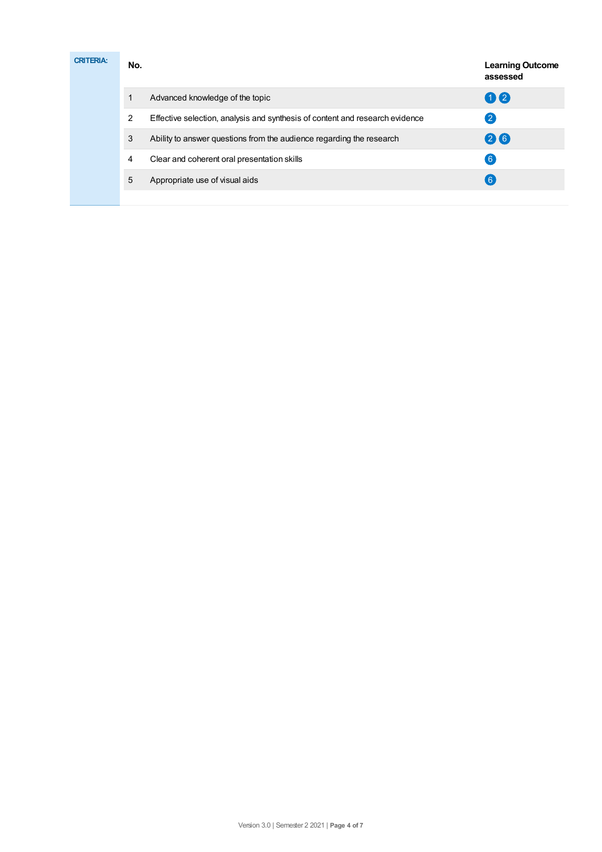| <b>CRITERIA:</b> | No. |                                                                              | <b>Learning Outcome</b><br>assessed |
|------------------|-----|------------------------------------------------------------------------------|-------------------------------------|
|                  |     | Advanced knowledge of the topic                                              | 00                                  |
|                  | 2   | Effective selection, analysis and synthesis of content and research evidence | $\overline{2}$                      |
|                  | 3   | Ability to answer questions from the audience regarding the research         | 26                                  |
|                  | 4   | Clear and coherent oral presentation skills                                  | 6 <sup>1</sup>                      |
|                  | 5   | Appropriate use of visual aids                                               | $6^{\circ}$                         |
|                  |     |                                                                              |                                     |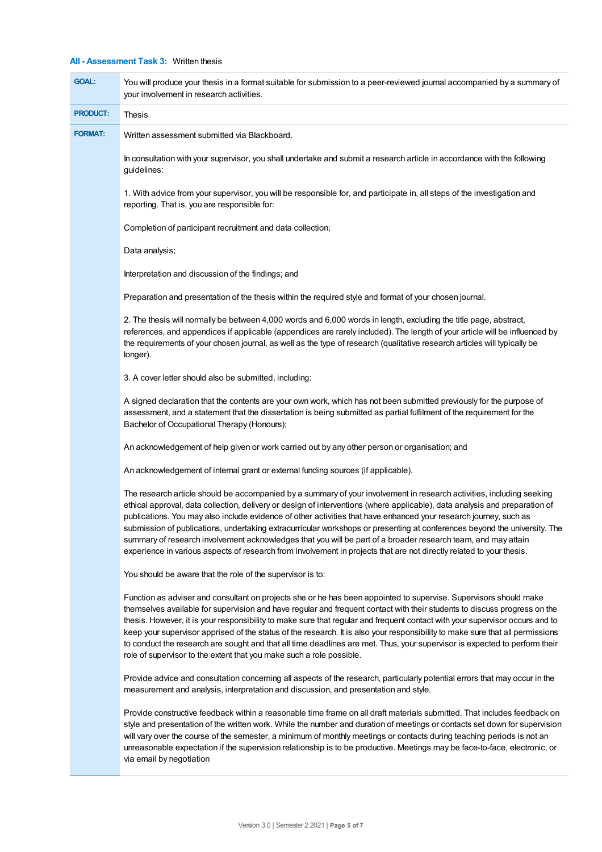#### **All - Assessment Task 3:** Written thesis

| <b>GOAL:</b>    | You will produce your thesis in a format suitable for submission to a peer-reviewed journal accompanied by a summary of<br>your involvement in research activities.                                                                                                                                                                                                                                                                                                                                                                                                                                                                                                                                                                             |
|-----------------|-------------------------------------------------------------------------------------------------------------------------------------------------------------------------------------------------------------------------------------------------------------------------------------------------------------------------------------------------------------------------------------------------------------------------------------------------------------------------------------------------------------------------------------------------------------------------------------------------------------------------------------------------------------------------------------------------------------------------------------------------|
| <b>PRODUCT:</b> | Thesis                                                                                                                                                                                                                                                                                                                                                                                                                                                                                                                                                                                                                                                                                                                                          |
| <b>FORMAT:</b>  | Written assessment submitted via Blackboard.                                                                                                                                                                                                                                                                                                                                                                                                                                                                                                                                                                                                                                                                                                    |
|                 | In consultation with your supervisor, you shall undertake and submit a research article in accordance with the following<br>guidelines:                                                                                                                                                                                                                                                                                                                                                                                                                                                                                                                                                                                                         |
|                 | 1. With advice from your supervisor, you will be responsible for, and participate in, all steps of the investigation and<br>reporting. That is, you are responsible for:                                                                                                                                                                                                                                                                                                                                                                                                                                                                                                                                                                        |
|                 | Completion of participant recruitment and data collection;                                                                                                                                                                                                                                                                                                                                                                                                                                                                                                                                                                                                                                                                                      |
|                 | Data analysis;                                                                                                                                                                                                                                                                                                                                                                                                                                                                                                                                                                                                                                                                                                                                  |
|                 | Interpretation and discussion of the findings; and                                                                                                                                                                                                                                                                                                                                                                                                                                                                                                                                                                                                                                                                                              |
|                 | Preparation and presentation of the thesis within the required style and format of your chosen journal.                                                                                                                                                                                                                                                                                                                                                                                                                                                                                                                                                                                                                                         |
|                 | 2. The thesis will normally be between 4,000 words and 6,000 words in length, excluding the title page, abstract,<br>references, and appendices if applicable (appendices are rarely included). The length of your article will be influenced by<br>the requirements of your chosen journal, as well as the type of research (qualitative research articles will typically be<br>longer).                                                                                                                                                                                                                                                                                                                                                       |
|                 | 3. A cover letter should also be submitted, including:                                                                                                                                                                                                                                                                                                                                                                                                                                                                                                                                                                                                                                                                                          |
|                 | A signed declaration that the contents are your own work, which has not been submitted previously for the purpose of<br>assessment, and a statement that the dissertation is being submitted as partial fulfilment of the requirement for the<br>Bachelor of Occupational Therapy (Honours);                                                                                                                                                                                                                                                                                                                                                                                                                                                    |
|                 | An acknowledgement of help given or work carried out by any other person or organisation; and                                                                                                                                                                                                                                                                                                                                                                                                                                                                                                                                                                                                                                                   |
|                 | An acknowledgement of internal grant or external funding sources (if applicable).                                                                                                                                                                                                                                                                                                                                                                                                                                                                                                                                                                                                                                                               |
|                 | The research article should be accompanied by a summary of your involvement in research activities, including seeking<br>ethical approval, data collection, delivery or design of interventions (where applicable), data analysis and preparation of<br>publications. You may also include evidence of other activities that have enhanced your research journey, such as<br>submission of publications, undertaking extracurricular workshops or presenting at conferences beyond the university. The<br>summary of research involvement acknowledges that you will be part of a broader research team, and may attain<br>experience in various aspects of research from involvement in projects that are not directly related to your thesis. |
|                 | You should be aware that the role of the supervisor is to:                                                                                                                                                                                                                                                                                                                                                                                                                                                                                                                                                                                                                                                                                      |
|                 | Function as adviser and consultant on projects she or he has been appointed to supervise. Supervisors should make<br>themselves available for supervision and have regular and frequent contact with their students to discuss progress on the<br>thesis. However, it is your responsibility to make sure that regular and frequent contact with your supervisor occurs and to<br>keep your supervisor apprised of the status of the research. It is also your responsibility to make sure that all permissions<br>to conduct the research are sought and that all time deadlines are met. Thus, your supervisor is expected to perform their<br>role of supervisor to the extent that you make such a role possible.                           |
|                 | Provide advice and consultation concerning all aspects of the research, particularly potential errors that may occur in the<br>measurement and analysis, interpretation and discussion, and presentation and style.                                                                                                                                                                                                                                                                                                                                                                                                                                                                                                                             |
|                 | Provide constructive feedback within a reasonable time frame on all draft materials submitted. That includes feedback on<br>style and presentation of the written work. While the number and duration of meetings or contacts set down for supervision<br>will vary over the course of the semester, a minimum of monthly meetings or contacts during teaching periods is not an<br>unreasonable expectation if the supervision relationship is to be productive. Meetings may be face-to-face, electronic, or<br>via email by negotiation                                                                                                                                                                                                      |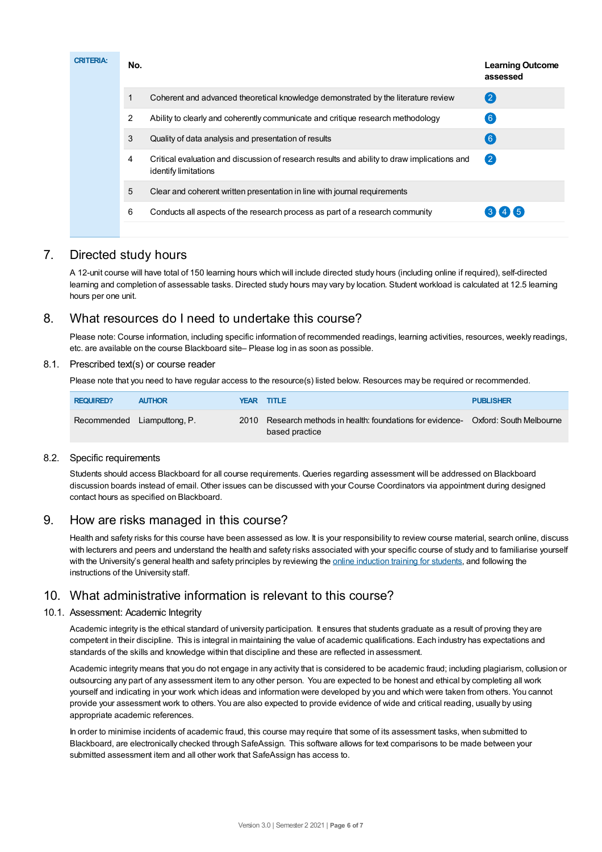| <b>Learning Outcome</b><br>assessed | <b>CRITERIA:</b><br>No.                                                                                                  |
|-------------------------------------|--------------------------------------------------------------------------------------------------------------------------|
| $\left( 2\right)$                   | Coherent and advanced theoretical knowledge demonstrated by the literature review                                        |
| $\boxed{6}$                         | $\overline{2}$<br>Ability to clearly and coherently communicate and critique research methodology                        |
| (6)                                 | 3<br>Quality of data analysis and presentation of results                                                                |
| $\mathbf{2}$                        | Critical evaluation and discussion of research results and ability to draw implications and<br>4<br>identify limitations |
|                                     | 5<br>Clear and coherent written presentation in line with journal requirements                                           |
| $3 \mid 4 \mid 5$                   | 6<br>Conducts all aspects of the research process as part of a research community                                        |
|                                     |                                                                                                                          |

# 7. Directed study hours

A 12-unit course will have total of 150 learning hours which will include directed study hours (including online if required), self-directed learning and completion of assessable tasks. Directed study hours may vary by location. Student workload is calculated at 12.5 learning hours per one unit.

# 8. What resources do I need to undertake this course?

Please note: Course information, including specific information of recommended readings, learning activities, resources, weekly readings, etc. are available on the course Blackboard site– Please log in as soon as possible.

#### 8.1. Prescribed text(s) or course reader

Please note that you need to have regular access to the resource(s) listed below. Resources may be required or recommended.

| <b>REQUIRED?</b> | <b>AUTHOR</b>               | <b>YEAR TITLE</b>                                                                                    | <b>PUBLISHER</b> |
|------------------|-----------------------------|------------------------------------------------------------------------------------------------------|------------------|
|                  | Recommended Liamputtong, P. | 2010 Research methods in health: foundations for evidence- Oxford: South Melbourne<br>based practice |                  |

#### 8.2. Specific requirements

Students should access Blackboard for all course requirements. Queries regarding assessment will be addressed on Blackboard discussion boards instead of email. Other issues can be discussed with your Course Coordinators via appointment during designed contact hours as specified on Blackboard.

# 9. How are risks managed in this course?

Health and safety risks for this course have been assessed as low. It is your responsibility to review course material, search online, discuss with lecturers and peers and understand the health and safety risks associated with your specific course of study and to familiarise yourself with the University's general health and safety principles by reviewing the online [induction](https://online.usc.edu.au/webapps/blackboard/content/listContentEditable.jsp?content_id=_632657_1&course_id=_14432_1) training for students, and following the instructions of the University staff.

# 10. What administrative information is relevant to this course?

#### 10.1. Assessment: Academic Integrity

Academic integrity is the ethical standard of university participation. It ensures that students graduate as a result of proving they are competent in their discipline. This is integral in maintaining the value of academic qualifications. Each industry has expectations and standards of the skills and knowledge within that discipline and these are reflected in assessment.

Academic integrity means that you do not engage in any activity that is considered to be academic fraud; including plagiarism, collusion or outsourcing any part of any assessment item to any other person. You are expected to be honest and ethical by completing all work yourself and indicating in your work which ideas and information were developed by you and which were taken from others. You cannot provide your assessment work to others. You are also expected to provide evidence of wide and critical reading, usually by using appropriate academic references.

In order to minimise incidents of academic fraud, this course may require that some of its assessment tasks, when submitted to Blackboard, are electronically checked through SafeAssign. This software allows for text comparisons to be made between your submitted assessment item and all other work that SafeAssign has access to.